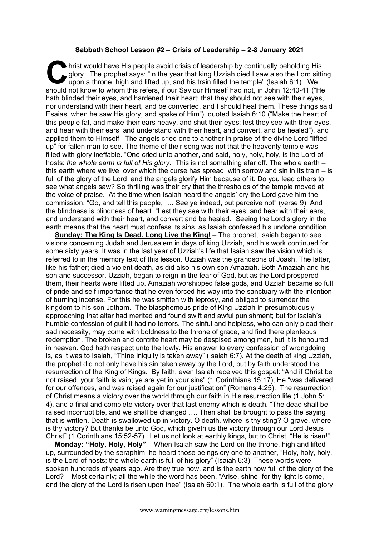## **Sabbath School Lesson #2 – Crisis** *of* **Leadership – 2-8 January 2021**

hrist would have His people avoid crisis of leadership by continually beholding His glory. The prophet says: "In the year that king Uzziah died I saw also the Lord sitting upon a throne, high and lifted up, and his train f glory. The prophet says: "In the year that king Uzziah died I saw also the Lord sitting upon a throne, high and lifted up, and his train filled the temple" (Isaiah 6:1). We should not know to whom this refers, if our Saviour Himself had not, in John 12:40-41 ("He hath blinded their eyes, and hardened their heart; that they should not see with their eyes, nor understand with their heart, and be converted, and I should heal them. These things said Esaias, when he saw His glory, and spake of Him"), quoted Isaiah 6:10 ("Make the heart of this people fat, and make their ears heavy, and shut their eyes; lest they see with their eyes, and hear with their ears, and understand with their heart, and convert, and be healed"), and applied them to Himself. The angels cried one to another in praise of the divine Lord "lifted up" for fallen man to see. The theme of their song was not that the heavenly temple was filled with glory ineffable. "One cried unto another, and said, holy, holy, holy, is the Lord of hosts: *the whole earth is full of His glory*." This is not something afar off. The whole earth – this earth where we live, over which the curse has spread, with sorrow and sin in its train – is full of the glory of the Lord, and the angels glorify Him because of it. Do you lead others to see what angels saw? So thrilling was their cry that the thresholds of the temple moved at the voice of praise. At the time when Isaiah heard the angels' cry the Lord gave him the commission, "Go, and tell this people, …. See ye indeed, but perceive not" (verse 9). And the blindness is blindness of heart. "Lest they see with their eyes, and hear with their ears, and understand with their heart, and convert and be healed." Seeing the Lord's glory in the earth means that the heart must confess its sins, as Isaiah confessed his undone condition.

**Sunday: The King Is Dead. Long Live the King!** – The prophet, Isaiah began to see visions concerning Judah and Jerusalem in days of king Uzziah, and his work continued for some sixty years. It was in the last year of Uzziah's life that Isaiah saw the vision which is referred to in the memory text of this lesson. Uzziah was the grandsons of Joash. The latter, like his father; died a violent death, as did also his own son Amaziah. Both Amaziah and his son and successor, Uzziah, began to reign in the fear of God, but as the Lord prospered them, their hearts were lifted up. Amaziah worshipped false gods, and Uzziah became so full of pride and self-importance that he even forced his way into the sanctuary with the intention of burning incense. For this he was smitten with leprosy, and obliged to surrender the kingdom to his son Jotham. The blasphemous pride of King Uzziah in presumptuously approaching that altar had merited and found swift and awful punishment; but for Isaiah's humble confession of guilt it had no terrors. The sinful and helpless, who can only plead their sad necessity, may come with boldness to the throne of grace, and find there plenteous redemption. The broken and contrite heart may be despised among men, but it is honoured in heaven. God hath respect unto the lowly. His answer to every confession of wrongdoing is, as it was to Isaiah, "Thine iniquity is taken away" (Isaiah 6:7). At the death of king Uzziah, the prophet did not only have his sin taken away by the Lord, but by faith understood the resurrection of the King of Kings. By faith, even Isaiah received this gospel: "And if Christ be not raised, your faith is vain; ye are yet in your sins" (1 Corinthians 15:17); He "was delivered for our offences, and was raised again for our justification" (Romans 4:25). The resurrection of Christ means a victory over the world through our faith in His resurrection life (1 John 5: 4), and a final and complete victory over that last enemy which is death. "The dead shall be raised incorruptible, and we shall be changed …. Then shall be brought to pass the saying that is written, Death is swallowed up in victory. O death, where is thy sting? O grave, where is thy victory? But thanks be unto God, which giveth us the victory through our Lord Jesus Christ" (1 Corinthians 15:52-57). Let us not look at earthly kings, but to Christ, "He is risen!"

**Monday: "Holy, Holy, Holy"** – When Isaiah saw the Lord on the throne, high and lifted up, surrounded by the seraphim, he heard those beings cry one to another, "Holy, holy, holy, is the Lord of hosts; the whole earth is full of his glory" (Isaiah 6:3). These words were spoken hundreds of years ago. Are they true now, and is the earth now full of the glory of the Lord? – Most certainly; all the while the word has been, "Arise, shine; for thy light is come, and the glory of the Lord is risen upon thee" (Isaiah 60:1). The whole earth is full of the glory